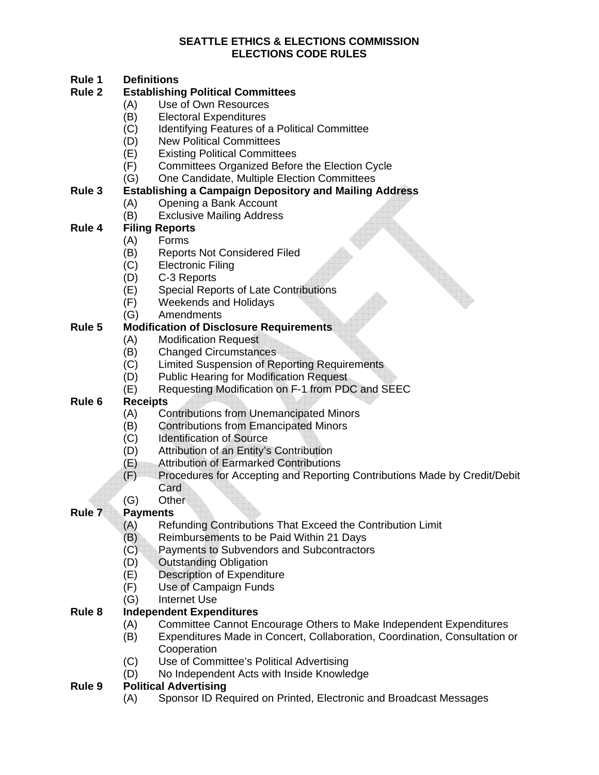# **Rule 1 Definitions**

#### **Establishing Political Committees**

- (A) Use of Own Resources
	- (B) Electoral Expenditures
	- (C) Identifying Features of a Political Committee
- (D) New Political Committees
- (E) Existing Political Committees
- (F) Committees Organized Before the Election Cycle
- (G) One Candidate, Multiple Election Committees

# **Rule 3 Establishing a Campaign Depository and Mailing Address**

- (A) Opening a Bank Account
- (B) Exclusive Mailing Address

# **Rule 4 Filing Reports**

- (A) Forms
- (B) Reports Not Considered Filed
- (C) Electronic Filing
- (D) C-3 Reports
- (E) Special Reports of Late Contributions
- (F) Weekends and Holidays
- (G) Amendments

## **Rule 5 Modification of Disclosure Requirements**

- (A) Modification Request
- (B) Changed Circumstances
- (C) Limited Suspension of Reporting Requirements
- (D) Public Hearing for Modification Request
- (E) Requesting Modification on F-1 from PDC and SEEC

# **Rule 6 Receipts**

- (A) Contributions from Unemancipated Minors
- (B) Contributions from Emancipated Minors
- (C) Identification of Source
- (D) Attribution of an Entity's Contribution
- (E) Attribution of Earmarked Contributions
- (F) Procedures for Accepting and Reporting Contributions Made by Credit/Debit Card
- (G) Other

# **Rule 7 Payments**

- (A) Refunding Contributions That Exceed the Contribution Limit
- (B) Reimbursements to be Paid Within 21 Days
- (C) Payments to Subvendors and Subcontractors
- (D) Outstanding Obligation
- (E) Description of Expenditure
- (F) Use of Campaign Funds
- (G) Internet Use

# **Rule 8 Independent Expenditures**

- (A) Committee Cannot Encourage Others to Make Independent Expenditures
- (B) Expenditures Made in Concert, Collaboration, Coordination, Consultation or **Cooperation**
- (C) Use of Committee's Political Advertising
- (D) No Independent Acts with Inside Knowledge

#### **Rule 9 Political Advertising**

(A) Sponsor ID Required on Printed, Electronic and Broadcast Messages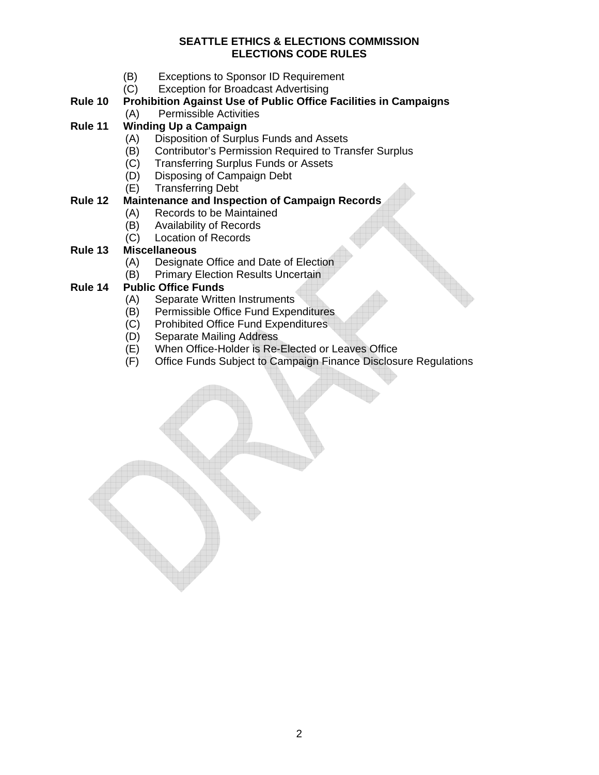- (B) Exceptions to Sponsor ID Requirement
- (C) Exception for Broadcast Advertising

#### **Rule 10 Prohibition Against Use of Public Office Facilities in Campaigns**  (A) Permissible Activities

# **Rule 11 Winding Up a Campaign**

- (A) Disposition of Surplus Funds and Assets
- (B) Contributor's Permission Required to Transfer Surplus
- (C) Transferring Surplus Funds or Assets
- (D) Disposing of Campaign Debt
- (E) Transferring Debt

# **Rule 12 Maintenance and Inspection of Campaign Records**

- (A) Records to be Maintained
- (B) Availability of Records
- (C) Location of Records

## **Rule 13 Miscellaneous**

- (A) Designate Office and Date of Election
- (B) Primary Election Results Uncertain

# **Rule 14 Public Office Funds**

- (A) Separate Written Instruments
- (B) Permissible Office Fund Expenditures
- (C) Prohibited Office Fund Expenditures
- (D) Separate Mailing Address
- (E) When Office-Holder is Re-Elected or Leaves Office
- (F) Office Funds Subject to Campaign Finance Disclosure Regulations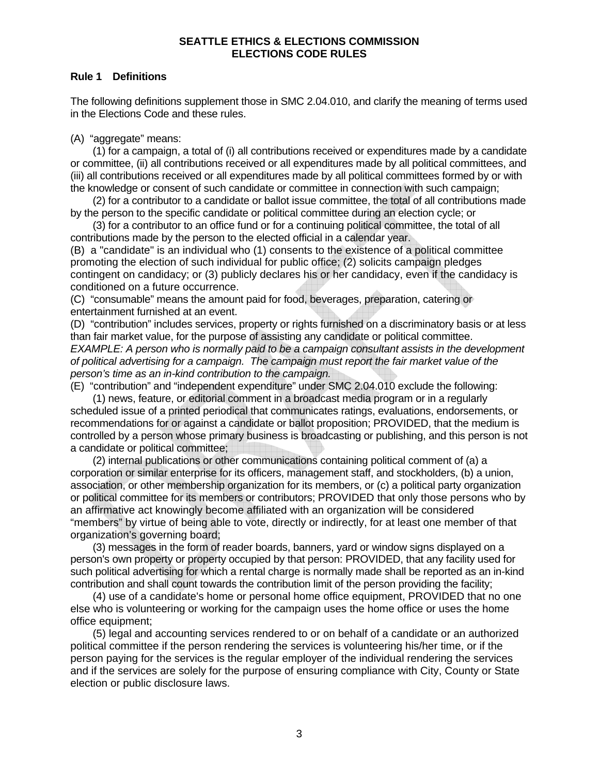#### **Rule 1 Definitions**

The following definitions supplement those in SMC 2.04.010, and clarify the meaning of terms used in the Elections Code and these rules.

(A) "aggregate" means:

(1) for a campaign, a total of (i) all contributions received or expenditures made by a candidate or committee, (ii) all contributions received or all expenditures made by all political committees, and (iii) all contributions received or all expenditures made by all political committees formed by or with the knowledge or consent of such candidate or committee in connection with such campaign;

(2) for a contributor to a candidate or ballot issue committee, the total of all contributions made by the person to the specific candidate or political committee during an election cycle; or

(3) for a contributor to an office fund or for a continuing political committee, the total of all contributions made by the person to the elected official in a calendar year.

(B) a "candidate" is an individual who (1) consents to the existence of a political committee promoting the election of such individual for public office; (2) solicits campaign pledges contingent on candidacy; or (3) publicly declares his or her candidacy, even if the candidacy is conditioned on a future occurrence.

(C) "consumable" means the amount paid for food, beverages, preparation, catering or entertainment furnished at an event.

(D) "contribution" includes services, property or rights furnished on a discriminatory basis or at less than fair market value, for the purpose of assisting any candidate or political committee. *EXAMPLE: A person who is normally paid to be a campaign consultant assists in the development of political advertising for a campaign. The campaign must report the fair market value of the person's time as an in-kind contribution to the campaign.* 

(E) "contribution" and "independent expenditure" under SMC 2.04.010 exclude the following: (1) news, feature, or editorial comment in a broadcast media program or in a regularly

scheduled issue of a printed periodical that communicates ratings, evaluations, endorsements, or recommendations for or against a candidate or ballot proposition; PROVIDED, that the medium is controlled by a person whose primary business is broadcasting or publishing, and this person is not a candidate or political committee;

(2) internal publications or other communications containing political comment of (a) a corporation or similar enterprise for its officers, management staff, and stockholders, (b) a union, association, or other membership organization for its members, or (c) a political party organization or political committee for its members or contributors; PROVIDED that only those persons who by an affirmative act knowingly become affiliated with an organization will be considered "members" by virtue of being able to vote, directly or indirectly, for at least one member of that organization's governing board;

(3) messages in the form of reader boards, banners, yard or window signs displayed on a person's own property or property occupied by that person: PROVIDED, that any facility used for such political advertising for which a rental charge is normally made shall be reported as an in-kind contribution and shall count towards the contribution limit of the person providing the facility;

(4) use of a candidate's home or personal home office equipment, PROVIDED that no one else who is volunteering or working for the campaign uses the home office or uses the home office equipment;

(5) legal and accounting services rendered to or on behalf of a candidate or an authorized political committee if the person rendering the services is volunteering his/her time, or if the person paying for the services is the regular employer of the individual rendering the services and if the services are solely for the purpose of ensuring compliance with City, County or State election or public disclosure laws.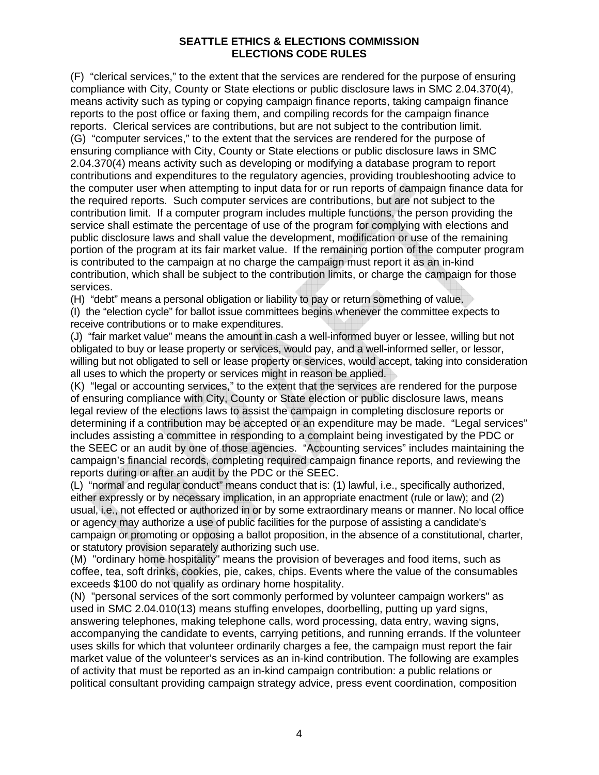(F) "clerical services," to the extent that the services are rendered for the purpose of ensuring compliance with City, County or State elections or public disclosure laws in SMC 2.04.370(4), means activity such as typing or copying campaign finance reports, taking campaign finance reports to the post office or faxing them, and compiling records for the campaign finance reports. Clerical services are contributions, but are not subject to the contribution limit. (G) "computer services," to the extent that the services are rendered for the purpose of ensuring compliance with City, County or State elections or public disclosure laws in SMC 2.04.370(4) means activity such as developing or modifying a database program to report contributions and expenditures to the regulatory agencies, providing troubleshooting advice to the computer user when attempting to input data for or run reports of campaign finance data for the required reports. Such computer services are contributions, but are not subject to the contribution limit. If a computer program includes multiple functions, the person providing the service shall estimate the percentage of use of the program for complying with elections and public disclosure laws and shall value the development, modification or use of the remaining portion of the program at its fair market value. If the remaining portion of the computer program is contributed to the campaign at no charge the campaign must report it as an in-kind contribution, which shall be subject to the contribution limits, or charge the campaign for those services.

(H) "debt" means a personal obligation or liability to pay or return something of value.

(I) the "election cycle" for ballot issue committees begins whenever the committee expects to receive contributions or to make expenditures.

(J) "fair market value" means the amount in cash a well-informed buyer or lessee, willing but not obligated to buy or lease property or services, would pay, and a well-informed seller, or lessor, willing but not obligated to sell or lease property or services, would accept, taking into consideration all uses to which the property or services might in reason be applied.

(K) "legal or accounting services," to the extent that the services are rendered for the purpose of ensuring compliance with City, County or State election or public disclosure laws, means legal review of the elections laws to assist the campaign in completing disclosure reports or determining if a contribution may be accepted or an expenditure may be made. "Legal services" includes assisting a committee in responding to a complaint being investigated by the PDC or the SEEC or an audit by one of those agencies. "Accounting services" includes maintaining the campaign's financial records, completing required campaign finance reports, and reviewing the reports during or after an audit by the PDC or the SEEC.

(L) "normal and regular conduct" means conduct that is: (1) lawful, i.e., specifically authorized, either expressly or by necessary implication, in an appropriate enactment (rule or law); and (2) usual, i.e., not effected or authorized in or by some extraordinary means or manner. No local office or agency may authorize a use of public facilities for the purpose of assisting a candidate's campaign or promoting or opposing a ballot proposition, in the absence of a constitutional, charter, or statutory provision separately authorizing such use.

(M) "ordinary home hospitality" means the provision of beverages and food items, such as coffee, tea, soft drinks, cookies, pie, cakes, chips. Events where the value of the consumables exceeds \$100 do not qualify as ordinary home hospitality.

(N) "personal services of the sort commonly performed by volunteer campaign workers" as used in SMC 2.04.010(13) means stuffing envelopes, doorbelling, putting up yard signs, answering telephones, making telephone calls, word processing, data entry, waving signs, accompanying the candidate to events, carrying petitions, and running errands. If the volunteer uses skills for which that volunteer ordinarily charges a fee, the campaign must report the fair market value of the volunteer's services as an in-kind contribution. The following are examples of activity that must be reported as an in-kind campaign contribution: a public relations or political consultant providing campaign strategy advice, press event coordination, composition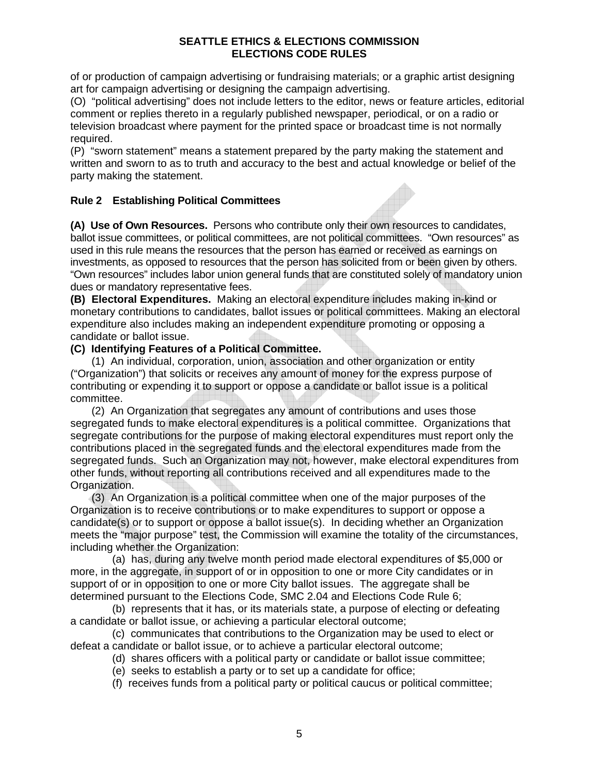of or production of campaign advertising or fundraising materials; or a graphic artist designing art for campaign advertising or designing the campaign advertising.

(O) "political advertising" does not include letters to the editor, news or feature articles, editorial comment or replies thereto in a regularly published newspaper, periodical, or on a radio or television broadcast where payment for the printed space or broadcast time is not normally required.

(P) "sworn statement" means a statement prepared by the party making the statement and written and sworn to as to truth and accuracy to the best and actual knowledge or belief of the party making the statement.

# **Rule 2 Establishing Political Committees**

**(A) Use of Own Resources.** Persons who contribute only their own resources to candidates, ballot issue committees, or political committees, are not political committees. "Own resources" as used in this rule means the resources that the person has earned or received as earnings on investments, as opposed to resources that the person has solicited from or been given by others. "Own resources" includes labor union general funds that are constituted solely of mandatory union dues or mandatory representative fees.

**(B) Electoral Expenditures.** Making an electoral expenditure includes making in-kind or monetary contributions to candidates, ballot issues or political committees. Making an electoral expenditure also includes making an independent expenditure promoting or opposing a candidate or ballot issue.

# **(C) Identifying Features of a Political Committee.**

(1) An individual, corporation, union, association and other organization or entity ("Organization") that solicits or receives any amount of money for the express purpose of contributing or expending it to support or oppose a candidate or ballot issue is a political committee.

(2) An Organization that segregates any amount of contributions and uses those segregated funds to make electoral expenditures is a political committee. Organizations that segregate contributions for the purpose of making electoral expenditures must report only the contributions placed in the segregated funds and the electoral expenditures made from the segregated funds. Such an Organization may not, however, make electoral expenditures from other funds, without reporting all contributions received and all expenditures made to the Organization.

(3) An Organization is a political committee when one of the major purposes of the Organization is to receive contributions or to make expenditures to support or oppose a candidate(s) or to support or oppose a ballot issue(s). In deciding whether an Organization meets the "major purpose" test, the Commission will examine the totality of the circumstances, including whether the Organization:

(a) has, during any twelve month period made electoral expenditures of \$5,000 or more, in the aggregate, in support of or in opposition to one or more City candidates or in support of or in opposition to one or more City ballot issues. The aggregate shall be determined pursuant to the Elections Code, SMC 2.04 and Elections Code Rule 6;

(b) represents that it has, or its materials state, a purpose of electing or defeating a candidate or ballot issue, or achieving a particular electoral outcome;

(c) communicates that contributions to the Organization may be used to elect or defeat a candidate or ballot issue, or to achieve a particular electoral outcome;

- (d) shares officers with a political party or candidate or ballot issue committee;
- (e) seeks to establish a party or to set up a candidate for office;
- (f) receives funds from a political party or political caucus or political committee;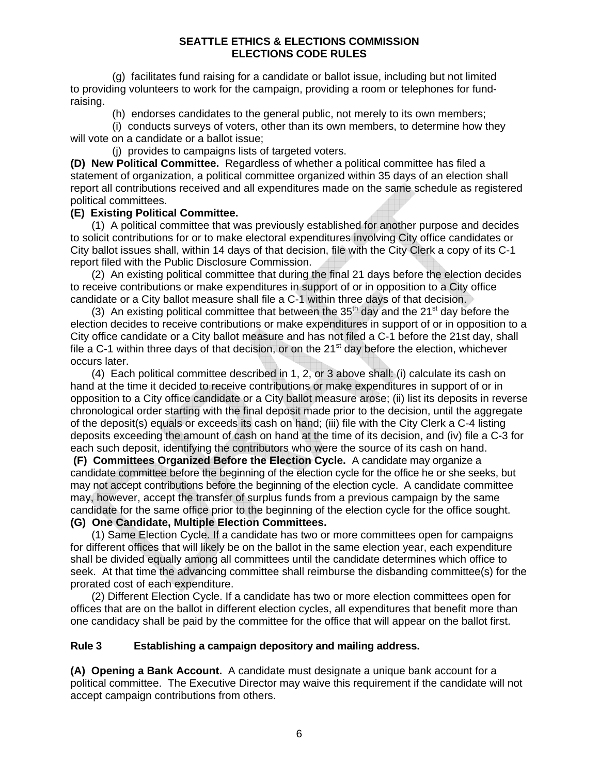(g) facilitates fund raising for a candidate or ballot issue, including but not limited to providing volunteers to work for the campaign, providing a room or telephones for fundraising.

(h) endorses candidates to the general public, not merely to its own members;

(i) conducts surveys of voters, other than its own members, to determine how they will vote on a candidate or a ballot issue;

(j) provides to campaigns lists of targeted voters.

**(D) New Political Committee.** Regardless of whether a political committee has filed a statement of organization, a political committee organized within 35 days of an election shall report all contributions received and all expenditures made on the same schedule as registered political committees.

## **(E) Existing Political Committee.**

(1) A political committee that was previously established for another purpose and decides to solicit contributions for or to make electoral expenditures involving City office candidates or City ballot issues shall, within 14 days of that decision, file with the City Clerk a copy of its C-1 report filed with the Public Disclosure Commission.

(2) An existing political committee that during the final 21 days before the election decides to receive contributions or make expenditures in support of or in opposition to a City office candidate or a City ballot measure shall file a C-1 within three days of that decision.

(3) An existing political committee that between the  $35<sup>th</sup>$  day and the 21<sup>st</sup> day before the election decides to receive contributions or make expenditures in support of or in opposition to a City office candidate or a City ballot measure and has not filed a C-1 before the 21st day, shall file a C-1 within three days of that decision, or on the  $21<sup>st</sup>$  day before the election, whichever occurs later.

(4) Each political committee described in 1, 2, or 3 above shall: (i) calculate its cash on hand at the time it decided to receive contributions or make expenditures in support of or in opposition to a City office candidate or a City ballot measure arose; (ii) list its deposits in reverse chronological order starting with the final deposit made prior to the decision, until the aggregate of the deposit(s) equals or exceeds its cash on hand; (iii) file with the City Clerk a C-4 listing deposits exceeding the amount of cash on hand at the time of its decision, and (iv) file a C-3 for each such deposit, identifying the contributors who were the source of its cash on hand.

 **(F) Committees Organized Before the Election Cycle.** A candidate may organize a candidate committee before the beginning of the election cycle for the office he or she seeks, but may not accept contributions before the beginning of the election cycle. A candidate committee may, however, accept the transfer of surplus funds from a previous campaign by the same candidate for the same office prior to the beginning of the election cycle for the office sought. **(G) One Candidate, Multiple Election Committees.** 

(1) Same Election Cycle. If a candidate has two or more committees open for campaigns for different offices that will likely be on the ballot in the same election year, each expenditure

shall be divided equally among all committees until the candidate determines which office to seek. At that time the advancing committee shall reimburse the disbanding committee(s) for the prorated cost of each expenditure.

(2) Different Election Cycle. If a candidate has two or more election committees open for offices that are on the ballot in different election cycles, all expenditures that benefit more than one candidacy shall be paid by the committee for the office that will appear on the ballot first.

#### **Rule 3 Establishing a campaign depository and mailing address.**

**(A) Opening a Bank Account.** A candidate must designate a unique bank account for a political committee. The Executive Director may waive this requirement if the candidate will not accept campaign contributions from others.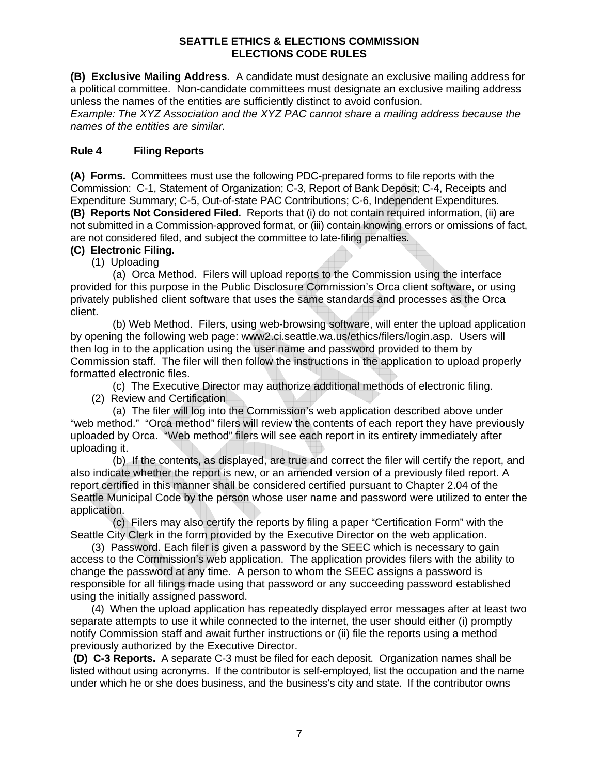**(B) Exclusive Mailing Address.** A candidate must designate an exclusive mailing address for a political committee. Non-candidate committees must designate an exclusive mailing address unless the names of the entities are sufficiently distinct to avoid confusion.

*Example: The XYZ Association and the XYZ PAC cannot share a mailing address because the names of the entities are similar.* 

# **Rule 4 Filing Reports**

**(A) Forms.** Committees must use the following PDC-prepared forms to file reports with the Commission: C-1, Statement of Organization; C-3, Report of Bank Deposit; C-4, Receipts and Expenditure Summary; C-5, Out-of-state PAC Contributions; C-6, Independent Expenditures. **(B) Reports Not Considered Filed.** Reports that (i) do not contain required information, (ii) are not submitted in a Commission-approved format, or (iii) contain knowing errors or omissions of fact, are not considered filed, and subject the committee to late-filing penalties.

#### **(C) Electronic Filing.**

(1) Uploading

(a) Orca Method. Filers will upload reports to the Commission using the interface provided for this purpose in the Public Disclosure Commission's Orca client software, or using privately published client software that uses the same standards and processes as the Orca client.

(b) Web Method. Filers, using web-browsing software, will enter the upload application by opening the following web page: www2.ci.seattle.wa.us/ethics/filers/login.asp. Users will then log in to the application using the user name and password provided to them by Commission staff. The filer will then follow the instructions in the application to upload properly formatted electronic files.

(c) The Executive Director may authorize additional methods of electronic filing. (2) Review and Certification

(a) The filer will log into the Commission's web application described above under "web method." "Orca method" filers will review the contents of each report they have previously uploaded by Orca. "Web method" filers will see each report in its entirety immediately after uploading it.

(b) If the contents, as displayed, are true and correct the filer will certify the report, and also indicate whether the report is new, or an amended version of a previously filed report. A report certified in this manner shall be considered certified pursuant to Chapter 2.04 of the Seattle Municipal Code by the person whose user name and password were utilized to enter the application.

(c) Filers may also certify the reports by filing a paper "Certification Form" with the Seattle City Clerk in the form provided by the Executive Director on the web application.

(3) Password. Each filer is given a password by the SEEC which is necessary to gain access to the Commission's web application. The application provides filers with the ability to change the password at any time. A person to whom the SEEC assigns a password is responsible for all filings made using that password or any succeeding password established using the initially assigned password.

(4) When the upload application has repeatedly displayed error messages after at least two separate attempts to use it while connected to the internet, the user should either (i) promptly notify Commission staff and await further instructions or (ii) file the reports using a method previously authorized by the Executive Director.

 **(D) C-3 Reports.** A separate C-3 must be filed for each deposit. Organization names shall be listed without using acronyms. If the contributor is self-employed, list the occupation and the name under which he or she does business, and the business's city and state. If the contributor owns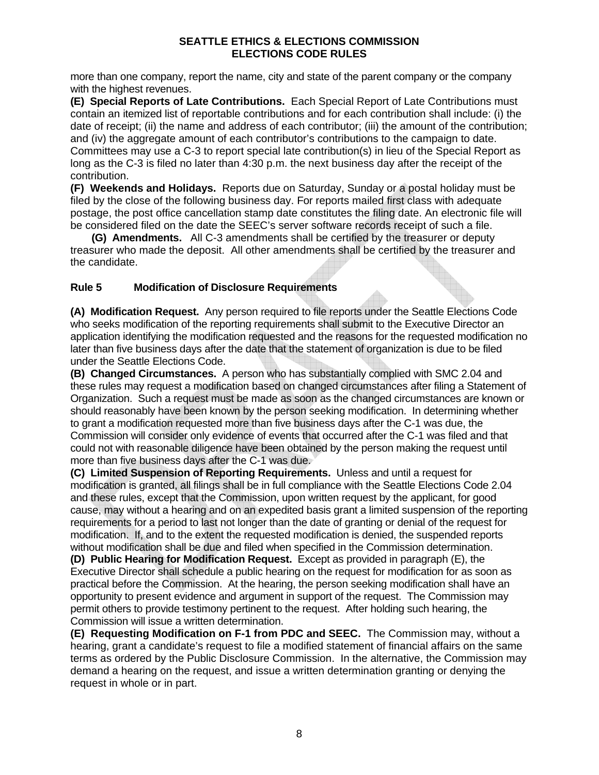more than one company, report the name, city and state of the parent company or the company with the highest revenues.

**(E) Special Reports of Late Contributions.** Each Special Report of Late Contributions must contain an itemized list of reportable contributions and for each contribution shall include: (i) the date of receipt; (ii) the name and address of each contributor; (iii) the amount of the contribution; and (iv) the aggregate amount of each contributor's contributions to the campaign to date. Committees may use a C-3 to report special late contribution(s) in lieu of the Special Report as long as the C-3 is filed no later than 4:30 p.m. the next business day after the receipt of the contribution.

**(F) Weekends and Holidays.** Reports due on Saturday, Sunday or a postal holiday must be filed by the close of the following business day. For reports mailed first class with adequate postage, the post office cancellation stamp date constitutes the filing date. An electronic file will be considered filed on the date the SEEC's server software records receipt of such a file.

**(G) Amendments.** All C-3 amendments shall be certified by the treasurer or deputy treasurer who made the deposit. All other amendments shall be certified by the treasurer and the candidate.

# **Rule 5 Modification of Disclosure Requirements**

**(A) Modification Request.** Any person required to file reports under the Seattle Elections Code who seeks modification of the reporting requirements shall submit to the Executive Director an application identifying the modification requested and the reasons for the requested modification no later than five business days after the date that the statement of organization is due to be filed under the Seattle Elections Code.

**(B) Changed Circumstances.** A person who has substantially complied with SMC 2.04 and these rules may request a modification based on changed circumstances after filing a Statement of Organization. Such a request must be made as soon as the changed circumstances are known or should reasonably have been known by the person seeking modification. In determining whether to grant a modification requested more than five business days after the C-1 was due, the Commission will consider only evidence of events that occurred after the C-1 was filed and that could not with reasonable diligence have been obtained by the person making the request until more than five business days after the C-1 was due.

**(C) Limited Suspension of Reporting Requirements.** Unless and until a request for modification is granted, all filings shall be in full compliance with the Seattle Elections Code 2.04 and these rules, except that the Commission, upon written request by the applicant, for good cause, may without a hearing and on an expedited basis grant a limited suspension of the reporting requirements for a period to last not longer than the date of granting or denial of the request for modification. If, and to the extent the requested modification is denied, the suspended reports without modification shall be due and filed when specified in the Commission determination.

**(D) Public Hearing for Modification Request.** Except as provided in paragraph (E), the Executive Director shall schedule a public hearing on the request for modification for as soon as practical before the Commission. At the hearing, the person seeking modification shall have an opportunity to present evidence and argument in support of the request. The Commission may permit others to provide testimony pertinent to the request. After holding such hearing, the Commission will issue a written determination.

**(E) Requesting Modification on F-1 from PDC and SEEC.** The Commission may, without a hearing, grant a candidate's request to file a modified statement of financial affairs on the same terms as ordered by the Public Disclosure Commission. In the alternative, the Commission may demand a hearing on the request, and issue a written determination granting or denying the request in whole or in part.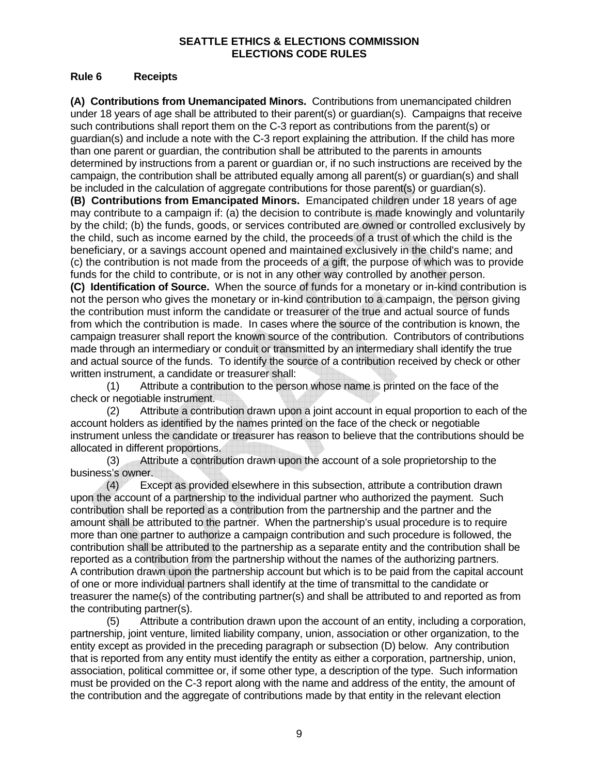#### **Rule 6 Receipts**

**(A) Contributions from Unemancipated Minors.** Contributions from unemancipated children under 18 years of age shall be attributed to their parent(s) or guardian(s). Campaigns that receive such contributions shall report them on the C-3 report as contributions from the parent(s) or guardian(s) and include a note with the C-3 report explaining the attribution. If the child has more than one parent or guardian, the contribution shall be attributed to the parents in amounts determined by instructions from a parent or guardian or, if no such instructions are received by the campaign, the contribution shall be attributed equally among all parent(s) or guardian(s) and shall be included in the calculation of aggregate contributions for those parent(s) or guardian(s).

**(B) Contributions from Emancipated Minors.** Emancipated children under 18 years of age may contribute to a campaign if: (a) the decision to contribute is made knowingly and voluntarily by the child; (b) the funds, goods, or services contributed are owned or controlled exclusively by the child, such as income earned by the child, the proceeds of a trust of which the child is the beneficiary, or a savings account opened and maintained exclusively in the child's name; and (c) the contribution is not made from the proceeds of a gift, the purpose of which was to provide funds for the child to contribute, or is not in any other way controlled by another person.

**(C) Identification of Source.** When the source of funds for a monetary or in-kind contribution is not the person who gives the monetary or in-kind contribution to a campaign, the person giving the contribution must inform the candidate or treasurer of the true and actual source of funds from which the contribution is made. In cases where the source of the contribution is known, the campaign treasurer shall report the known source of the contribution. Contributors of contributions made through an intermediary or conduit or transmitted by an intermediary shall identify the true and actual source of the funds. To identify the source of a contribution received by check or other written instrument, a candidate or treasurer shall:

(1) Attribute a contribution to the person whose name is printed on the face of the check or negotiable instrument.

(2) Attribute a contribution drawn upon a joint account in equal proportion to each of the account holders as identified by the names printed on the face of the check or negotiable instrument unless the candidate or treasurer has reason to believe that the contributions should be allocated in different proportions.

(3) Attribute a contribution drawn upon the account of a sole proprietorship to the business's owner.

(4) Except as provided elsewhere in this subsection, attribute a contribution drawn upon the account of a partnership to the individual partner who authorized the payment. Such contribution shall be reported as a contribution from the partnership and the partner and the amount shall be attributed to the partner. When the partnership's usual procedure is to require more than one partner to authorize a campaign contribution and such procedure is followed, the contribution shall be attributed to the partnership as a separate entity and the contribution shall be reported as a contribution from the partnership without the names of the authorizing partners. A contribution drawn upon the partnership account but which is to be paid from the capital account of one or more individual partners shall identify at the time of transmittal to the candidate or treasurer the name(s) of the contributing partner(s) and shall be attributed to and reported as from the contributing partner(s).

(5) Attribute a contribution drawn upon the account of an entity, including a corporation, partnership, joint venture, limited liability company, union, association or other organization, to the entity except as provided in the preceding paragraph or subsection (D) below. Any contribution that is reported from any entity must identify the entity as either a corporation, partnership, union, association, political committee or, if some other type, a description of the type. Such information must be provided on the C-3 report along with the name and address of the entity, the amount of the contribution and the aggregate of contributions made by that entity in the relevant election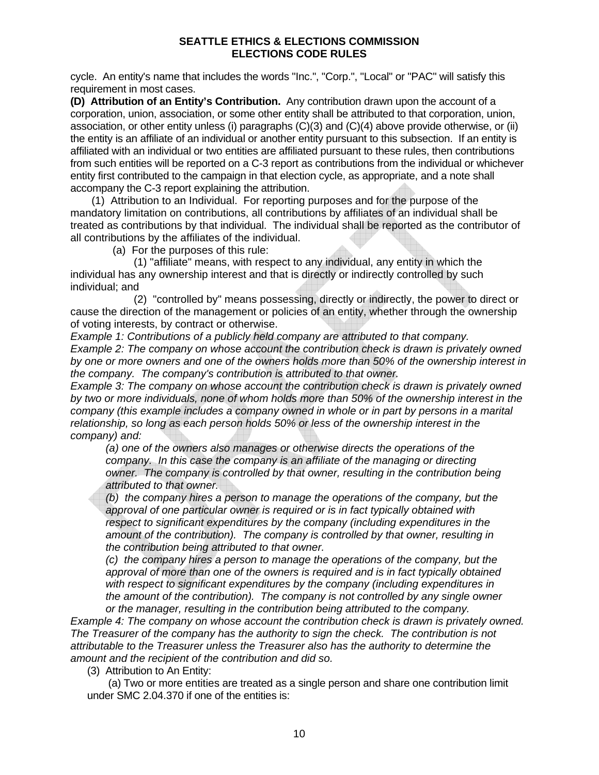cycle. An entity's name that includes the words "Inc.", "Corp.", "Local" or "PAC" will satisfy this requirement in most cases.

**(D) Attribution of an Entity's Contribution.** Any contribution drawn upon the account of a corporation, union, association, or some other entity shall be attributed to that corporation, union, association, or other entity unless (i) paragraphs (C)(3) and (C)(4) above provide otherwise, or (ii) the entity is an affiliate of an individual or another entity pursuant to this subsection. If an entity is affiliated with an individual or two entities are affiliated pursuant to these rules, then contributions from such entities will be reported on a C-3 report as contributions from the individual or whichever entity first contributed to the campaign in that election cycle, as appropriate, and a note shall accompany the C-3 report explaining the attribution.

(1) Attribution to an Individual. For reporting purposes and for the purpose of the mandatory limitation on contributions, all contributions by affiliates of an individual shall be treated as contributions by that individual. The individual shall be reported as the contributor of all contributions by the affiliates of the individual.

(a) For the purposes of this rule:

(1) "affiliate" means, with respect to any individual, any entity in which the individual has any ownership interest and that is directly or indirectly controlled by such individual; and

(2) "controlled by" means possessing, directly or indirectly, the power to direct or cause the direction of the management or policies of an entity, whether through the ownership of voting interests, by contract or otherwise.

*Example 1: Contributions of a publicly held company are attributed to that company. Example 2: The company on whose account the contribution check is drawn is privately owned by one or more owners and one of the owners holds more than 50% of the ownership interest in the company. The company's contribution is attributed to that owner.* 

*Example 3: The company on whose account the contribution check is drawn is privately owned by two or more individuals, none of whom holds more than 50% of the ownership interest in the company (this example includes a company owned in whole or in part by persons in a marital relationship, so long as each person holds 50% or less of the ownership interest in the company) and:*

*(a) one of the owners also manages or otherwise directs the operations of the company. In this case the company is an affiliate of the managing or directing owner. The company is controlled by that owner, resulting in the contribution being attributed to that owner.* 

*(b) the company hires a person to manage the operations of the company, but the approval of one particular owner is required or is in fact typically obtained with respect to significant expenditures by the company (including expenditures in the amount of the contribution). The company is controlled by that owner, resulting in the contribution being attributed to that owner.* 

*(c) the company hires a person to manage the operations of the company, but the*  approval of more than one of the owners is required and is in fact typically obtained *with respect to significant expenditures by the company (including expenditures in the amount of the contribution). The company is not controlled by any single owner or the manager, resulting in the contribution being attributed to the company.* 

*Example 4: The company on whose account the contribution check is drawn is privately owned. The Treasurer of the company has the authority to sign the check. The contribution is not attributable to the Treasurer unless the Treasurer also has the authority to determine the amount and the recipient of the contribution and did so.*

(3) Attribution to An Entity:

(a) Two or more entities are treated as a single person and share one contribution limit under SMC 2.04.370 if one of the entities is: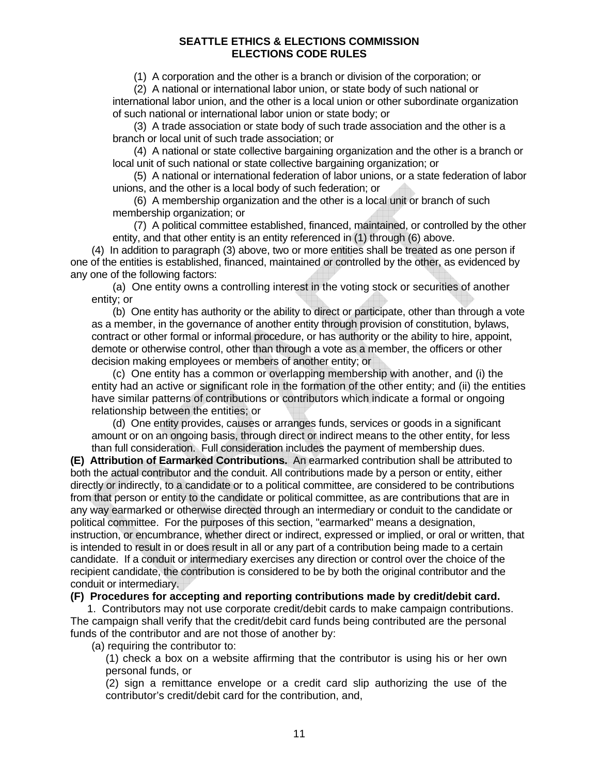(1) A corporation and the other is a branch or division of the corporation; or

(2) A national or international labor union, or state body of such national or international labor union, and the other is a local union or other subordinate organization of such national or international labor union or state body; or

(3) A trade association or state body of such trade association and the other is a branch or local unit of such trade association; or

(4) A national or state collective bargaining organization and the other is a branch or local unit of such national or state collective bargaining organization; or

(5) A national or international federation of labor unions, or a state federation of labor unions, and the other is a local body of such federation; or

(6) A membership organization and the other is a local unit or branch of such membership organization; or

(7) A political committee established, financed, maintained, or controlled by the other entity, and that other entity is an entity referenced in (1) through (6) above.

(4) In addition to paragraph (3) above, two or more entities shall be treated as one person if one of the entities is established, financed, maintained or controlled by the other, as evidenced by any one of the following factors:

(a) One entity owns a controlling interest in the voting stock or securities of another entity; or

(b) One entity has authority or the ability to direct or participate, other than through a vote as a member, in the governance of another entity through provision of constitution, bylaws, contract or other formal or informal procedure, or has authority or the ability to hire, appoint, demote or otherwise control, other than through a vote as a member, the officers or other decision making employees or members of another entity; or

(c) One entity has a common or overlapping membership with another, and (i) the entity had an active or significant role in the formation of the other entity; and (ii) the entities have similar patterns of contributions or contributors which indicate a formal or ongoing relationship between the entities; or

(d) One entity provides, causes or arranges funds, services or goods in a significant amount or on an ongoing basis, through direct or indirect means to the other entity, for less than full consideration. Full consideration includes the payment of membership dues.

**(E) Attribution of Earmarked Contributions.** An earmarked contribution shall be attributed to both the actual contributor and the conduit. All contributions made by a person or entity, either directly or indirectly, to a candidate or to a political committee, are considered to be contributions from that person or entity to the candidate or political committee, as are contributions that are in any way earmarked or otherwise directed through an intermediary or conduit to the candidate or political committee. For the purposes of this section, "earmarked" means a designation, instruction, or encumbrance, whether direct or indirect, expressed or implied, or oral or written, that is intended to result in or does result in all or any part of a contribution being made to a certain candidate. If a conduit or intermediary exercises any direction or control over the choice of the recipient candidate, the contribution is considered to be by both the original contributor and the conduit or intermediary.

#### **(F) Procedures for accepting and reporting contributions made by credit/debit card.**

1. Contributors may not use corporate credit/debit cards to make campaign contributions. The campaign shall verify that the credit/debit card funds being contributed are the personal funds of the contributor and are not those of another by:

(a) requiring the contributor to:

(1) check a box on a website affirming that the contributor is using his or her own personal funds, or

(2) sign a remittance envelope or a credit card slip authorizing the use of the contributor's credit/debit card for the contribution, and,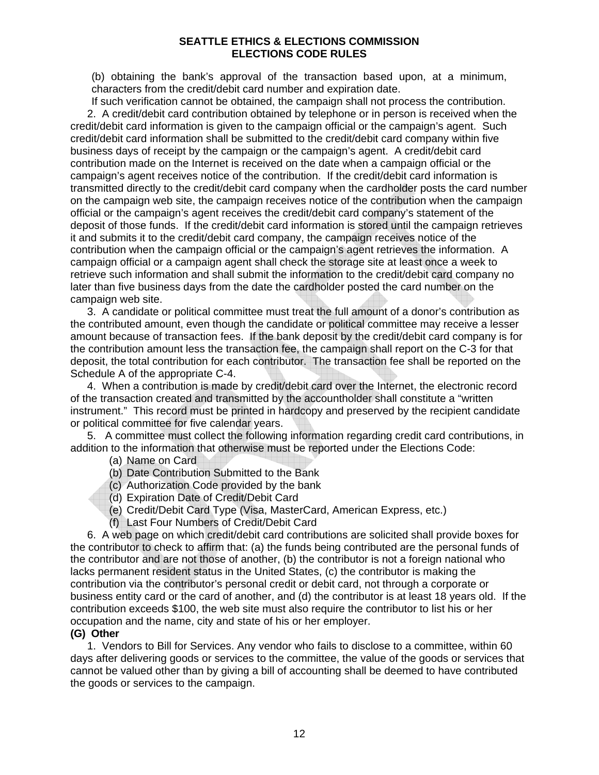(b) obtaining the bank's approval of the transaction based upon, at a minimum, characters from the credit/debit card number and expiration date.

If such verification cannot be obtained, the campaign shall not process the contribution. 2. A credit/debit card contribution obtained by telephone or in person is received when the credit/debit card information is given to the campaign official or the campaign's agent. Such credit/debit card information shall be submitted to the credit/debit card company within five business days of receipt by the campaign or the campaign's agent. A credit/debit card contribution made on the Internet is received on the date when a campaign official or the campaign's agent receives notice of the contribution. If the credit/debit card information is transmitted directly to the credit/debit card company when the cardholder posts the card number on the campaign web site, the campaign receives notice of the contribution when the campaign official or the campaign's agent receives the credit/debit card company's statement of the deposit of those funds. If the credit/debit card information is stored until the campaign retrieves it and submits it to the credit/debit card company, the campaign receives notice of the contribution when the campaign official or the campaign's agent retrieves the information. A campaign official or a campaign agent shall check the storage site at least once a week to retrieve such information and shall submit the information to the credit/debit card company no later than five business days from the date the cardholder posted the card number on the campaign web site.

3. A candidate or political committee must treat the full amount of a donor's contribution as the contributed amount, even though the candidate or political committee may receive a lesser amount because of transaction fees. If the bank deposit by the credit/debit card company is for the contribution amount less the transaction fee, the campaign shall report on the C-3 for that deposit, the total contribution for each contributor. The transaction fee shall be reported on the Schedule A of the appropriate C-4.

4. When a contribution is made by credit/debit card over the Internet, the electronic record of the transaction created and transmitted by the accountholder shall constitute a "written instrument." This record must be printed in hardcopy and preserved by the recipient candidate or political committee for five calendar years.

5. A committee must collect the following information regarding credit card contributions, in addition to the information that otherwise must be reported under the Elections Code:

- (a) Name on Card
- (b) Date Contribution Submitted to the Bank
- (c) Authorization Code provided by the bank
- (d) Expiration Date of Credit/Debit Card
- (e) Credit/Debit Card Type (Visa, MasterCard, American Express, etc.)
- (f) Last Four Numbers of Credit/Debit Card

6. A web page on which credit/debit card contributions are solicited shall provide boxes for the contributor to check to affirm that: (a) the funds being contributed are the personal funds of the contributor and are not those of another, (b) the contributor is not a foreign national who lacks permanent resident status in the United States, (c) the contributor is making the contribution via the contributor's personal credit or debit card, not through a corporate or business entity card or the card of another, and (d) the contributor is at least 18 years old. If the contribution exceeds \$100, the web site must also require the contributor to list his or her occupation and the name, city and state of his or her employer.

#### **(G) Other**

1. Vendors to Bill for Services. Any vendor who fails to disclose to a committee, within 60 days after delivering goods or services to the committee, the value of the goods or services that cannot be valued other than by giving a bill of accounting shall be deemed to have contributed the goods or services to the campaign.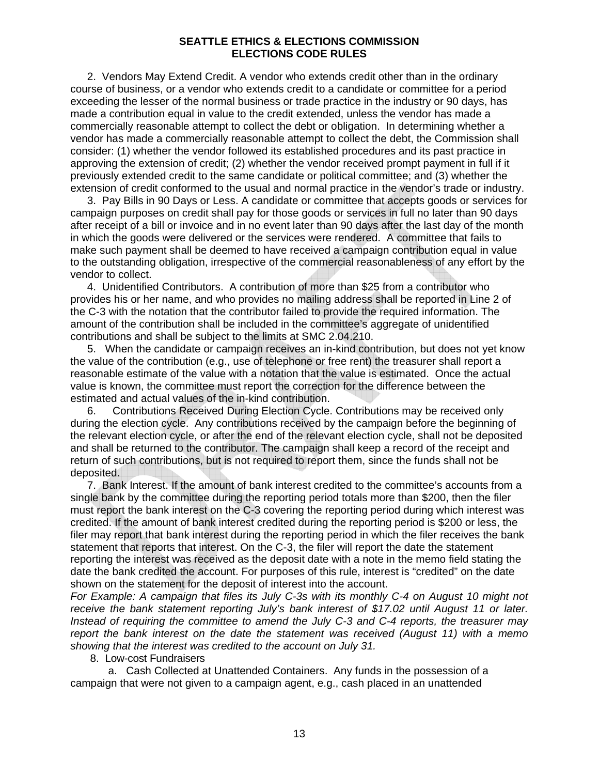2. Vendors May Extend Credit. A vendor who extends credit other than in the ordinary course of business, or a vendor who extends credit to a candidate or committee for a period exceeding the lesser of the normal business or trade practice in the industry or 90 days, has made a contribution equal in value to the credit extended, unless the vendor has made a commercially reasonable attempt to collect the debt or obligation. In determining whether a vendor has made a commercially reasonable attempt to collect the debt, the Commission shall consider: (1) whether the vendor followed its established procedures and its past practice in approving the extension of credit; (2) whether the vendor received prompt payment in full if it previously extended credit to the same candidate or political committee; and (3) whether the extension of credit conformed to the usual and normal practice in the vendor's trade or industry.

3. Pay Bills in 90 Days or Less. A candidate or committee that accepts goods or services for campaign purposes on credit shall pay for those goods or services in full no later than 90 days after receipt of a bill or invoice and in no event later than 90 days after the last day of the month in which the goods were delivered or the services were rendered. A committee that fails to make such payment shall be deemed to have received a campaign contribution equal in value to the outstanding obligation, irrespective of the commercial reasonableness of any effort by the vendor to collect.

4. Unidentified Contributors. A contribution of more than \$25 from a contributor who provides his or her name, and who provides no mailing address shall be reported in Line 2 of the C-3 with the notation that the contributor failed to provide the required information. The amount of the contribution shall be included in the committee's aggregate of unidentified contributions and shall be subject to the limits at SMC 2.04.210.

5. When the candidate or campaign receives an in-kind contribution, but does not yet know the value of the contribution (e.g., use of telephone or free rent) the treasurer shall report a reasonable estimate of the value with a notation that the value is estimated. Once the actual value is known, the committee must report the correction for the difference between the estimated and actual values of the in-kind contribution.

6. Contributions Received During Election Cycle. Contributions may be received only during the election cycle. Any contributions received by the campaign before the beginning of the relevant election cycle, or after the end of the relevant election cycle, shall not be deposited and shall be returned to the contributor. The campaign shall keep a record of the receipt and return of such contributions, but is not required to report them, since the funds shall not be deposited.

7. Bank Interest. If the amount of bank interest credited to the committee's accounts from a single bank by the committee during the reporting period totals more than \$200, then the filer must report the bank interest on the C-3 covering the reporting period during which interest was credited. If the amount of bank interest credited during the reporting period is \$200 or less, the filer may report that bank interest during the reporting period in which the filer receives the bank statement that reports that interest. On the C-3, the filer will report the date the statement reporting the interest was received as the deposit date with a note in the memo field stating the date the bank credited the account. For purposes of this rule, interest is "credited" on the date shown on the statement for the deposit of interest into the account.

*For Example: A campaign that files its July C-3s with its monthly C-4 on August 10 might not receive the bank statement reporting July's bank interest of \$17.02 until August 11 or later. Instead of requiring the committee to amend the July C-3 and C-4 reports, the treasurer may report the bank interest on the date the statement was received (August 11) with a memo showing that the interest was credited to the account on July 31.* 

8. Low-cost Fundraisers

a. Cash Collected at Unattended Containers. Any funds in the possession of a campaign that were not given to a campaign agent, e.g., cash placed in an unattended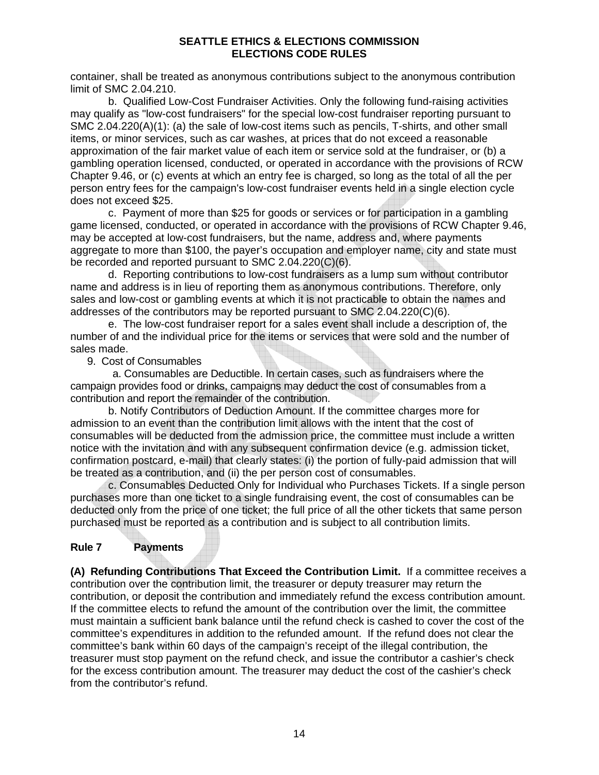container, shall be treated as anonymous contributions subject to the anonymous contribution limit of SMC 2.04.210.

b. Qualified Low-Cost Fundraiser Activities. Only the following fund-raising activities may qualify as "low-cost fundraisers" for the special low-cost fundraiser reporting pursuant to SMC 2.04.220(A)(1): (a) the sale of low-cost items such as pencils, T-shirts, and other small items, or minor services, such as car washes, at prices that do not exceed a reasonable approximation of the fair market value of each item or service sold at the fundraiser, or (b) a gambling operation licensed, conducted, or operated in accordance with the provisions of RCW Chapter 9.46, or (c) events at which an entry fee is charged, so long as the total of all the per person entry fees for the campaign's low-cost fundraiser events held in a single election cycle does not exceed \$25.

c. Payment of more than \$25 for goods or services or for participation in a gambling game licensed, conducted, or operated in accordance with the provisions of RCW Chapter 9.46, may be accepted at low-cost fundraisers, but the name, address and, where payments aggregate to more than \$100, the payer's occupation and employer name, city and state must be recorded and reported pursuant to SMC 2.04.220(C)(6).

d. Reporting contributions to low-cost fundraisers as a lump sum without contributor name and address is in lieu of reporting them as anonymous contributions. Therefore, only sales and low-cost or gambling events at which it is not practicable to obtain the names and addresses of the contributors may be reported pursuant to SMC 2.04.220(C)(6).

e. The low-cost fundraiser report for a sales event shall include a description of, the number of and the individual price for the items or services that were sold and the number of sales made.

9. Cost of Consumables

 a. Consumables are Deductible. In certain cases, such as fundraisers where the campaign provides food or drinks, campaigns may deduct the cost of consumables from a contribution and report the remainder of the contribution.

b. Notify Contributors of Deduction Amount. If the committee charges more for admission to an event than the contribution limit allows with the intent that the cost of consumables will be deducted from the admission price, the committee must include a written notice with the invitation and with any subsequent confirmation device (e.g. admission ticket, confirmation postcard, e-mail) that clearly states: (i) the portion of fully-paid admission that will be treated as a contribution, and (ii) the per person cost of consumables.

c. Consumables Deducted Only for Individual who Purchases Tickets. If a single person purchases more than one ticket to a single fundraising event, the cost of consumables can be deducted only from the price of one ticket; the full price of all the other tickets that same person purchased must be reported as a contribution and is subject to all contribution limits.

# **Rule 7 Payments**

**(A) Refunding Contributions That Exceed the Contribution Limit.** If a committee receives a contribution over the contribution limit, the treasurer or deputy treasurer may return the contribution, or deposit the contribution and immediately refund the excess contribution amount. If the committee elects to refund the amount of the contribution over the limit, the committee must maintain a sufficient bank balance until the refund check is cashed to cover the cost of the committee's expenditures in addition to the refunded amount. If the refund does not clear the committee's bank within 60 days of the campaign's receipt of the illegal contribution, the treasurer must stop payment on the refund check, and issue the contributor a cashier's check for the excess contribution amount. The treasurer may deduct the cost of the cashier's check from the contributor's refund.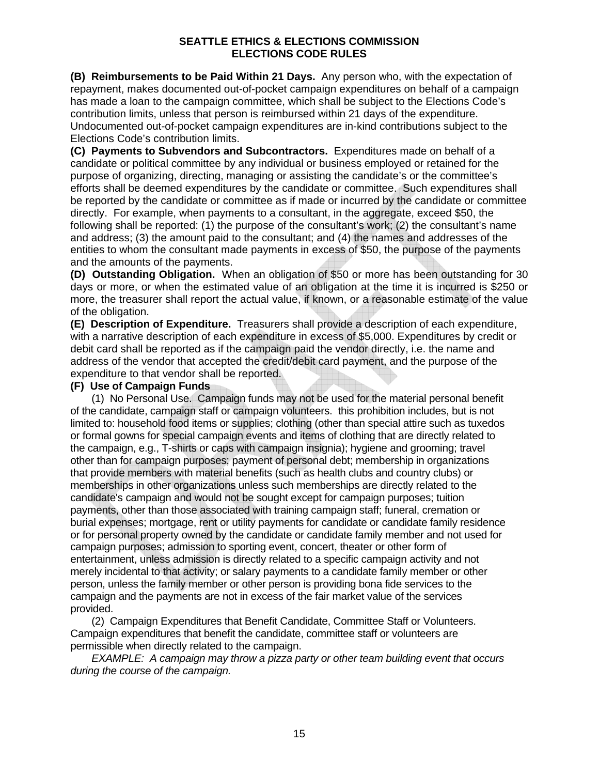**(B) Reimbursements to be Paid Within 21 Days.** Any person who, with the expectation of repayment, makes documented out-of-pocket campaign expenditures on behalf of a campaign has made a loan to the campaign committee, which shall be subject to the Elections Code's contribution limits, unless that person is reimbursed within 21 days of the expenditure. Undocumented out-of-pocket campaign expenditures are in-kind contributions subject to the Elections Code's contribution limits.

**(C) Payments to Subvendors and Subcontractors.** Expenditures made on behalf of a candidate or political committee by any individual or business employed or retained for the purpose of organizing, directing, managing or assisting the candidate's or the committee's efforts shall be deemed expenditures by the candidate or committee. Such expenditures shall be reported by the candidate or committee as if made or incurred by the candidate or committee directly. For example, when payments to a consultant, in the aggregate, exceed \$50, the following shall be reported: (1) the purpose of the consultant's work; (2) the consultant's name and address; (3) the amount paid to the consultant; and (4) the names and addresses of the entities to whom the consultant made payments in excess of \$50, the purpose of the payments and the amounts of the payments.

**(D) Outstanding Obligation.** When an obligation of \$50 or more has been outstanding for 30 days or more, or when the estimated value of an obligation at the time it is incurred is \$250 or more, the treasurer shall report the actual value, if known, or a reasonable estimate of the value of the obligation.

**(E) Description of Expenditure.** Treasurers shall provide a description of each expenditure, with a narrative description of each expenditure in excess of \$5,000. Expenditures by credit or debit card shall be reported as if the campaign paid the vendor directly, i.e. the name and address of the vendor that accepted the credit/debit card payment, and the purpose of the expenditure to that vendor shall be reported.

#### **(F) Use of Campaign Funds**

(1) No Personal Use. Campaign funds may not be used for the material personal benefit of the candidate, campaign staff or campaign volunteers. this prohibition includes, but is not limited to: household food items or supplies; clothing (other than special attire such as tuxedos or formal gowns for special campaign events and items of clothing that are directly related to the campaign, e.g., T-shirts or caps with campaign insignia); hygiene and grooming; travel other than for campaign purposes; payment of personal debt; membership in organizations that provide members with material benefits (such as health clubs and country clubs) or memberships in other organizations unless such memberships are directly related to the candidate's campaign and would not be sought except for campaign purposes; tuition payments, other than those associated with training campaign staff; funeral, cremation or burial expenses; mortgage, rent or utility payments for candidate or candidate family residence or for personal property owned by the candidate or candidate family member and not used for campaign purposes; admission to sporting event, concert, theater or other form of entertainment, unless admission is directly related to a specific campaign activity and not merely incidental to that activity; or salary payments to a candidate family member or other person, unless the family member or other person is providing bona fide services to the campaign and the payments are not in excess of the fair market value of the services provided.

(2) Campaign Expenditures that Benefit Candidate, Committee Staff or Volunteers. Campaign expenditures that benefit the candidate, committee staff or volunteers are permissible when directly related to the campaign.

*EXAMPLE: A campaign may throw a pizza party or other team building event that occurs during the course of the campaign.*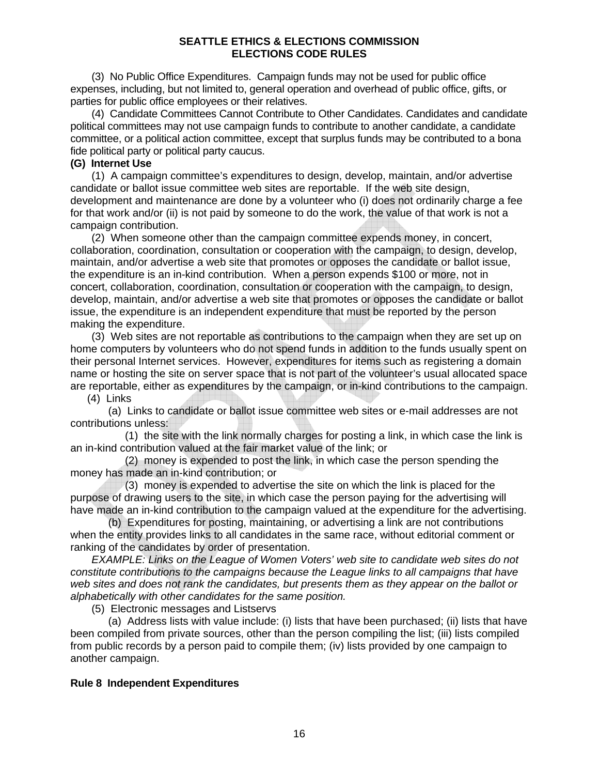(3) No Public Office Expenditures. Campaign funds may not be used for public office expenses, including, but not limited to, general operation and overhead of public office, gifts, or parties for public office employees or their relatives.

(4) Candidate Committees Cannot Contribute to Other Candidates. Candidates and candidate political committees may not use campaign funds to contribute to another candidate, a candidate committee, or a political action committee, except that surplus funds may be contributed to a bona fide political party or political party caucus.

#### **(G) Internet Use**

(1) A campaign committee's expenditures to design, develop, maintain, and/or advertise candidate or ballot issue committee web sites are reportable. If the web site design, development and maintenance are done by a volunteer who (i) does not ordinarily charge a fee for that work and/or (ii) is not paid by someone to do the work, the value of that work is not a campaign contribution.

(2) When someone other than the campaign committee expends money, in concert, collaboration, coordination, consultation or cooperation with the campaign, to design, develop, maintain, and/or advertise a web site that promotes or opposes the candidate or ballot issue, the expenditure is an in-kind contribution. When a person expends \$100 or more, not in concert, collaboration, coordination, consultation or cooperation with the campaign, to design, develop, maintain, and/or advertise a web site that promotes or opposes the candidate or ballot issue, the expenditure is an independent expenditure that must be reported by the person making the expenditure.

(3) Web sites are not reportable as contributions to the campaign when they are set up on home computers by volunteers who do not spend funds in addition to the funds usually spent on their personal Internet services. However, expenditures for items such as registering a domain name or hosting the site on server space that is not part of the volunteer's usual allocated space are reportable, either as expenditures by the campaign, or in-kind contributions to the campaign.

(4) Links

(a) Links to candidate or ballot issue committee web sites or e-mail addresses are not contributions unless:

(1) the site with the link normally charges for posting a link, in which case the link is an in-kind contribution valued at the fair market value of the link; or

(2) money is expended to post the link, in which case the person spending the money has made an in-kind contribution; or

(3) money is expended to advertise the site on which the link is placed for the purpose of drawing users to the site, in which case the person paying for the advertising will have made an in-kind contribution to the campaign valued at the expenditure for the advertising.

(b) Expenditures for posting, maintaining, or advertising a link are not contributions when the entity provides links to all candidates in the same race, without editorial comment or ranking of the candidates by order of presentation.

*EXAMPLE: Links on the League of Women Voters' web site to candidate web sites do not constitute contributions to the campaigns because the League links to all campaigns that have web sites and does not rank the candidates, but presents them as they appear on the ballot or alphabetically with other candidates for the same position.* 

(5) Electronic messages and Listservs

(a) Address lists with value include: (i) lists that have been purchased; (ii) lists that have been compiled from private sources, other than the person compiling the list; (iii) lists compiled from public records by a person paid to compile them; (iv) lists provided by one campaign to another campaign.

#### **Rule 8 Independent Expenditures**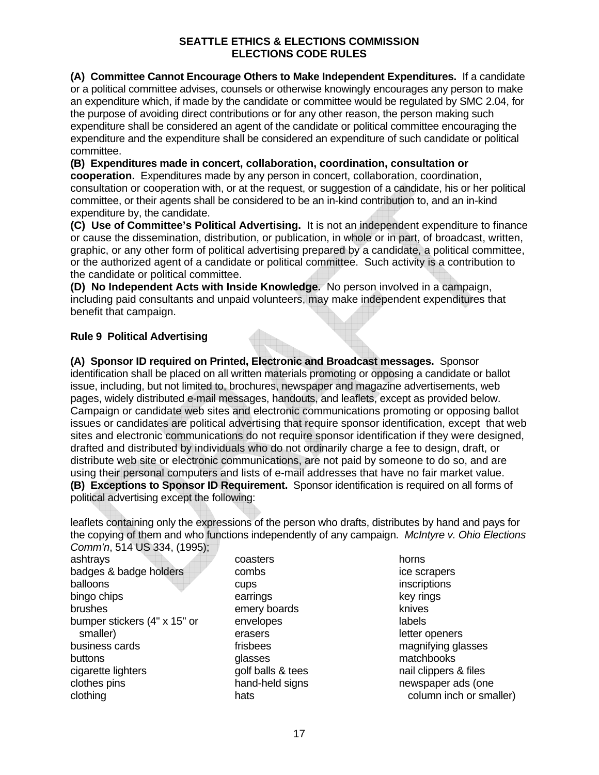**(A) Committee Cannot Encourage Others to Make Independent Expenditures.** If a candidate or a political committee advises, counsels or otherwise knowingly encourages any person to make an expenditure which, if made by the candidate or committee would be regulated by SMC 2.04, for the purpose of avoiding direct contributions or for any other reason, the person making such expenditure shall be considered an agent of the candidate or political committee encouraging the expenditure and the expenditure shall be considered an expenditure of such candidate or political committee.

**(B) Expenditures made in concert, collaboration, coordination, consultation or cooperation.** Expenditures made by any person in concert, collaboration, coordination, consultation or cooperation with, or at the request, or suggestion of a candidate, his or her political committee, or their agents shall be considered to be an in-kind contribution to, and an in-kind expenditure by, the candidate.

**(C) Use of Committee's Political Advertising.** It is not an independent expenditure to finance or cause the dissemination, distribution, or publication, in whole or in part, of broadcast, written, graphic, or any other form of political advertising prepared by a candidate, a political committee, or the authorized agent of a candidate or political committee. Such activity is a contribution to the candidate or political committee.

**(D) No Independent Acts with Inside Knowledge.** No person involved in a campaign, including paid consultants and unpaid volunteers, may make independent expenditures that benefit that campaign.

# **Rule 9 Political Advertising**

**(A) Sponsor ID required on Printed, Electronic and Broadcast messages.** Sponsor identification shall be placed on all written materials promoting or opposing a candidate or ballot issue, including, but not limited to, brochures, newspaper and magazine advertisements, web pages, widely distributed e-mail messages, handouts, and leaflets, except as provided below. Campaign or candidate web sites and electronic communications promoting or opposing ballot issues or candidates are political advertising that require sponsor identification, except that web sites and electronic communications do not require sponsor identification if they were designed, drafted and distributed by individuals who do not ordinarily charge a fee to design, draft, or distribute web site or electronic communications, are not paid by someone to do so, and are using their personal computers and lists of e-mail addresses that have no fair market value. **(B) Exceptions to Sponsor ID Requirement.** Sponsor identification is required on all forms of political advertising except the following:

leaflets containing only the expressions of the person who drafts, distributes by hand and pays for the copying of them and who functions independently of any campaign. *McIntyre v. Ohio Elections Comm'n*, 514 US 334, (1995);

ashtrays badges & badge holders balloons bingo chips brushes bumper stickers (4" x 15" or smaller) business cards buttons cigarette lighters clothes pins clothing

coasters combs cups earrings emery boards envelopes erasers frisbees glasses golf balls & tees hand-held signs hats

horns ice scrapers inscriptions key rings knives labels letter openers magnifying glasses matchbooks nail clippers & files newspaper ads (one column inch or smaller)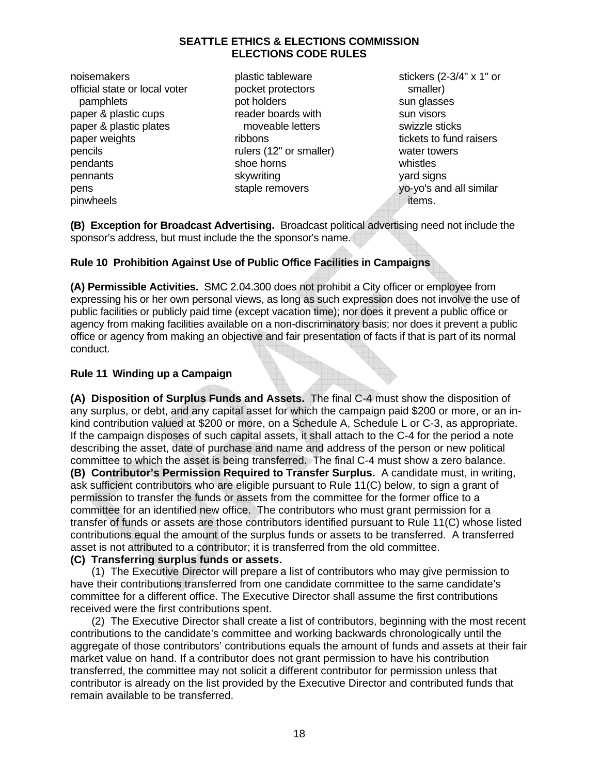noisemakers official state or local voter pamphlets paper & plastic cups paper & plastic plates paper weights pencils pendants pennants pens pinwheels

plastic tableware pocket protectors pot holders reader boards with moveable letters ribbons rulers (12" or smaller) shoe horns skywriting staple removers

stickers (2-3/4" x 1" or smaller) sun glasses sun visors swizzle sticks tickets to fund raisers water towers whistles yard signs yo-yo's and all similar items.

**(B) Exception for Broadcast Advertising.** Broadcast political advertising need not include the sponsor's address, but must include the the sponsor's name.

# **Rule 10 Prohibition Against Use of Public Office Facilities in Campaigns**

**(A) Permissible Activities.** SMC 2.04.300 does not prohibit a City officer or employee from expressing his or her own personal views, as long as such expression does not involve the use of public facilities or publicly paid time (except vacation time); nor does it prevent a public office or agency from making facilities available on a non-discriminatory basis; nor does it prevent a public office or agency from making an objective and fair presentation of facts if that is part of its normal conduct.

# **Rule 11 Winding up a Campaign**

**(A) Disposition of Surplus Funds and Assets.** The final C-4 must show the disposition of any surplus, or debt, and any capital asset for which the campaign paid \$200 or more, or an inkind contribution valued at \$200 or more, on a Schedule A, Schedule L or C-3, as appropriate. If the campaign disposes of such capital assets, it shall attach to the C-4 for the period a note describing the asset, date of purchase and name and address of the person or new political committee to which the asset is being transferred. The final C-4 must show a zero balance. **(B) Contributor's Permission Required to Transfer Surplus.** A candidate must, in writing, ask sufficient contributors who are eligible pursuant to Rule 11(C) below, to sign a grant of permission to transfer the funds or assets from the committee for the former office to a committee for an identified new office. The contributors who must grant permission for a transfer of funds or assets are those contributors identified pursuant to Rule 11(C) whose listed contributions equal the amount of the surplus funds or assets to be transferred. A transferred asset is not attributed to a contributor; it is transferred from the old committee.

# **(C) Transferring surplus funds or assets.**

(1) The Executive Director will prepare a list of contributors who may give permission to have their contributions transferred from one candidate committee to the same candidate's committee for a different office. The Executive Director shall assume the first contributions received were the first contributions spent.

(2) The Executive Director shall create a list of contributors, beginning with the most recent contributions to the candidate's committee and working backwards chronologically until the aggregate of those contributors' contributions equals the amount of funds and assets at their fair market value on hand. If a contributor does not grant permission to have his contribution transferred, the committee may not solicit a different contributor for permission unless that contributor is already on the list provided by the Executive Director and contributed funds that remain available to be transferred.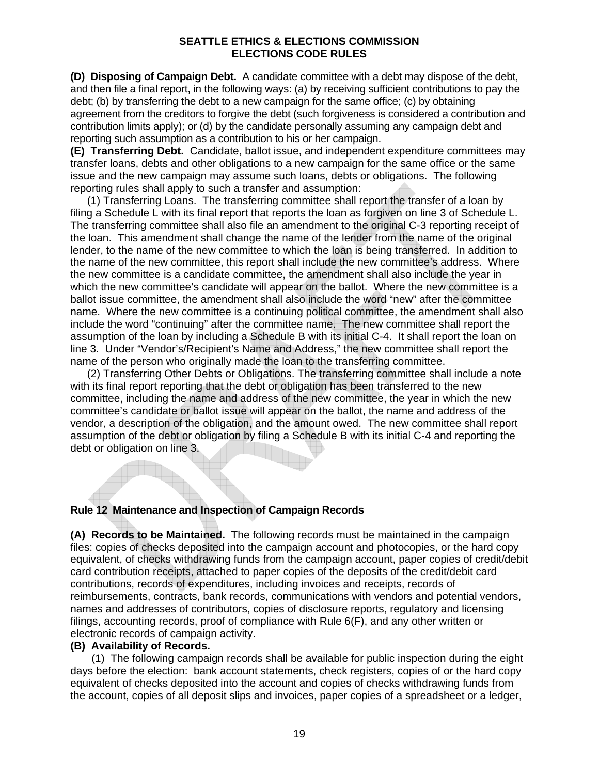**(D) Disposing of Campaign Debt.** A candidate committee with a debt may dispose of the debt, and then file a final report, in the following ways: (a) by receiving sufficient contributions to pay the debt; (b) by transferring the debt to a new campaign for the same office; (c) by obtaining agreement from the creditors to forgive the debt (such forgiveness is considered a contribution and contribution limits apply); or (d) by the candidate personally assuming any campaign debt and reporting such assumption as a contribution to his or her campaign.

**(E) Transferring Debt.** Candidate, ballot issue, and independent expenditure committees may transfer loans, debts and other obligations to a new campaign for the same office or the same issue and the new campaign may assume such loans, debts or obligations. The following reporting rules shall apply to such a transfer and assumption:

(1) Transferring Loans. The transferring committee shall report the transfer of a loan by filing a Schedule L with its final report that reports the loan as forgiven on line 3 of Schedule L. The transferring committee shall also file an amendment to the original C-3 reporting receipt of the loan. This amendment shall change the name of the lender from the name of the original lender, to the name of the new committee to which the loan is being transferred. In addition to the name of the new committee, this report shall include the new committee's address. Where the new committee is a candidate committee, the amendment shall also include the year in which the new committee's candidate will appear on the ballot. Where the new committee is a ballot issue committee, the amendment shall also include the word "new" after the committee name. Where the new committee is a continuing political committee, the amendment shall also include the word "continuing" after the committee name. The new committee shall report the assumption of the loan by including a Schedule B with its initial C-4. It shall report the loan on line 3. Under "Vendor's/Recipient's Name and Address," the new committee shall report the name of the person who originally made the loan to the transferring committee.

(2) Transferring Other Debts or Obligations. The transferring committee shall include a note with its final report reporting that the debt or obligation has been transferred to the new committee, including the name and address of the new committee, the year in which the new committee's candidate or ballot issue will appear on the ballot, the name and address of the vendor, a description of the obligation, and the amount owed. The new committee shall report assumption of the debt or obligation by filing a Schedule B with its initial C-4 and reporting the debt or obligation on line 3.

#### **Rule 12 Maintenance and Inspection of Campaign Records**

**(A) Records to be Maintained.** The following records must be maintained in the campaign files: copies of checks deposited into the campaign account and photocopies, or the hard copy equivalent, of checks withdrawing funds from the campaign account, paper copies of credit/debit card contribution receipts, attached to paper copies of the deposits of the credit/debit card contributions, records of expenditures, including invoices and receipts, records of reimbursements, contracts, bank records, communications with vendors and potential vendors, names and addresses of contributors, copies of disclosure reports, regulatory and licensing filings, accounting records, proof of compliance with Rule 6(F), and any other written or electronic records of campaign activity.

#### **(B) Availability of Records.**

(1) The following campaign records shall be available for public inspection during the eight days before the election: bank account statements, check registers, copies of or the hard copy equivalent of checks deposited into the account and copies of checks withdrawing funds from the account, copies of all deposit slips and invoices, paper copies of a spreadsheet or a ledger,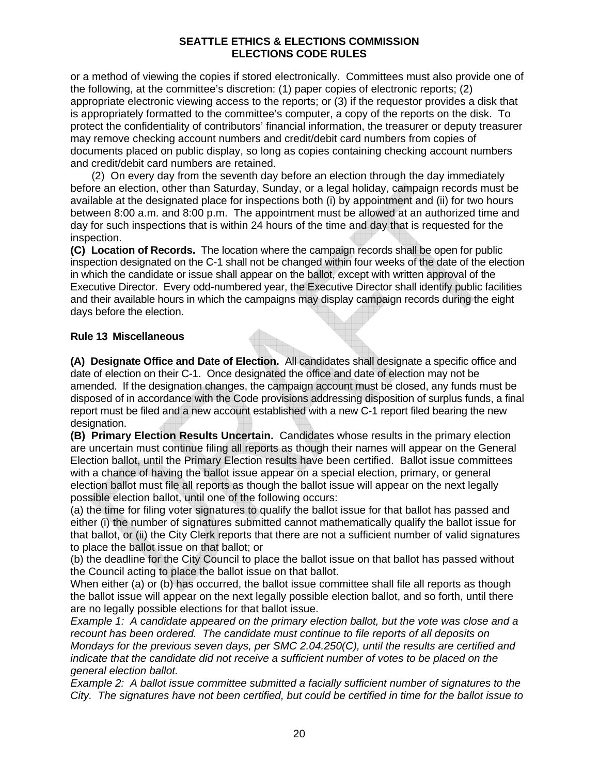or a method of viewing the copies if stored electronically. Committees must also provide one of the following, at the committee's discretion: (1) paper copies of electronic reports; (2) appropriate electronic viewing access to the reports; or (3) if the requestor provides a disk that is appropriately formatted to the committee's computer, a copy of the reports on the disk. To protect the confidentiality of contributors' financial information, the treasurer or deputy treasurer may remove checking account numbers and credit/debit card numbers from copies of documents placed on public display, so long as copies containing checking account numbers and credit/debit card numbers are retained.

(2) On every day from the seventh day before an election through the day immediately before an election, other than Saturday, Sunday, or a legal holiday, campaign records must be available at the designated place for inspections both (i) by appointment and (ii) for two hours between 8:00 a.m. and 8:00 p.m. The appointment must be allowed at an authorized time and day for such inspections that is within 24 hours of the time and day that is requested for the inspection.

**(C) Location of Records.** The location where the campaign records shall be open for public inspection designated on the C-1 shall not be changed within four weeks of the date of the election in which the candidate or issue shall appear on the ballot, except with written approval of the Executive Director. Every odd-numbered year, the Executive Director shall identify public facilities and their available hours in which the campaigns may display campaign records during the eight days before the election.

#### **Rule 13 Miscellaneous**

**(A) Designate Office and Date of Election.** All candidates shall designate a specific office and date of election on their C-1. Once designated the office and date of election may not be amended. If the designation changes, the campaign account must be closed, any funds must be disposed of in accordance with the Code provisions addressing disposition of surplus funds, a final report must be filed and a new account established with a new C-1 report filed bearing the new designation.

**(B) Primary Election Results Uncertain.** Candidates whose results in the primary election are uncertain must continue filing all reports as though their names will appear on the General Election ballot, until the Primary Election results have been certified. Ballot issue committees with a chance of having the ballot issue appear on a special election, primary, or general election ballot must file all reports as though the ballot issue will appear on the next legally possible election ballot, until one of the following occurs:

(a) the time for filing voter signatures to qualify the ballot issue for that ballot has passed and either (i) the number of signatures submitted cannot mathematically qualify the ballot issue for that ballot, or (ii) the City Clerk reports that there are not a sufficient number of valid signatures to place the ballot issue on that ballot; or

(b) the deadline for the City Council to place the ballot issue on that ballot has passed without the Council acting to place the ballot issue on that ballot.

When either (a) or (b) has occurred, the ballot issue committee shall file all reports as though the ballot issue will appear on the next legally possible election ballot, and so forth, until there are no legally possible elections for that ballot issue.

*Example 1: A candidate appeared on the primary election ballot, but the vote was close and a recount has been ordered. The candidate must continue to file reports of all deposits on Mondays for the previous seven days, per SMC 2.04.250(C), until the results are certified and indicate that the candidate did not receive a sufficient number of votes to be placed on the general election ballot.* 

*Example 2: A ballot issue committee submitted a facially sufficient number of signatures to the City. The signatures have not been certified, but could be certified in time for the ballot issue to*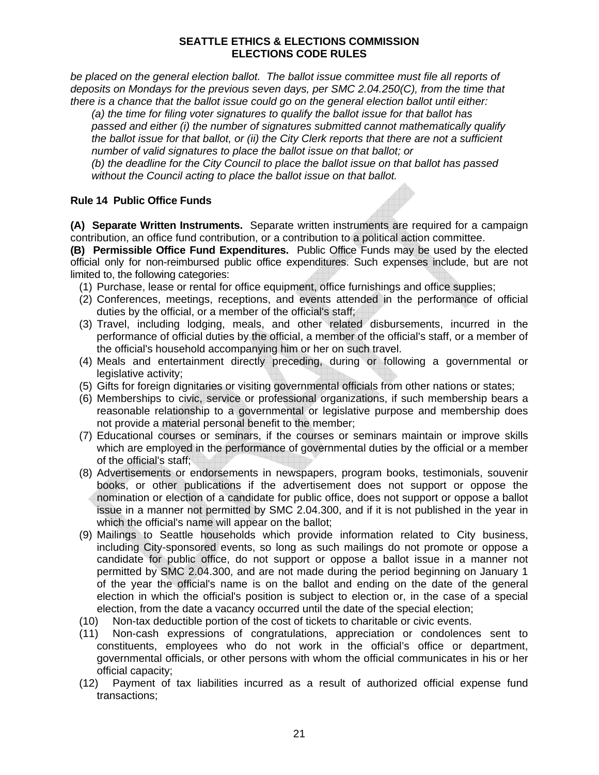*be placed on the general election ballot. The ballot issue committee must file all reports of deposits on Mondays for the previous seven days, per SMC 2.04.250(C), from the time that there is a chance that the ballot issue could go on the general election ballot until either:* 

*(a) the time for filing voter signatures to qualify the ballot issue for that ballot has passed and either (i) the number of signatures submitted cannot mathematically qualify the ballot issue for that ballot, or (ii) the City Clerk reports that there are not a sufficient number of valid signatures to place the ballot issue on that ballot; or* 

*(b) the deadline for the City Council to place the ballot issue on that ballot has passed without the Council acting to place the ballot issue on that ballot.* 

## **Rule 14 Public Office Funds**

**(A) Separate Written Instruments.** Separate written instruments are required for a campaign contribution, an office fund contribution, or a contribution to a political action committee.

**(B) Permissible Office Fund Expenditures.** Public Office Funds may be used by the elected official only for non-reimbursed public office expenditures. Such expenses include, but are not limited to, the following categories:

- (1) Purchase, lease or rental for office equipment, office furnishings and office supplies;
- (2) Conferences, meetings, receptions, and events attended in the performance of official duties by the official, or a member of the official's staff;
- (3) Travel, including lodging, meals, and other related disbursements, incurred in the performance of official duties by the official, a member of the official's staff, or a member of the official's household accompanying him or her on such travel.
- (4) Meals and entertainment directly preceding, during or following a governmental or legislative activity;
- (5) Gifts for foreign dignitaries or visiting governmental officials from other nations or states;
- (6) Memberships to civic, service or professional organizations, if such membership bears a reasonable relationship to a governmental or legislative purpose and membership does not provide a material personal benefit to the member;
- (7) Educational courses or seminars, if the courses or seminars maintain or improve skills which are employed in the performance of governmental duties by the official or a member of the official's staff;
- (8) Advertisements or endorsements in newspapers, program books, testimonials, souvenir books, or other publications if the advertisement does not support or oppose the nomination or election of a candidate for public office, does not support or oppose a ballot issue in a manner not permitted by SMC 2.04.300, and if it is not published in the year in which the official's name will appear on the ballot;
- (9) Mailings to Seattle households which provide information related to City business, including City-sponsored events, so long as such mailings do not promote or oppose a candidate for public office, do not support or oppose a ballot issue in a manner not permitted by SMC 2.04.300, and are not made during the period beginning on January 1 of the year the official's name is on the ballot and ending on the date of the general election in which the official's position is subject to election or, in the case of a special election, from the date a vacancy occurred until the date of the special election;
- (10) Non-tax deductible portion of the cost of tickets to charitable or civic events.
- (11) Non-cash expressions of congratulations, appreciation or condolences sent to constituents, employees who do not work in the official's office or department, governmental officials, or other persons with whom the official communicates in his or her official capacity;
- (12) Payment of tax liabilities incurred as a result of authorized official expense fund transactions;